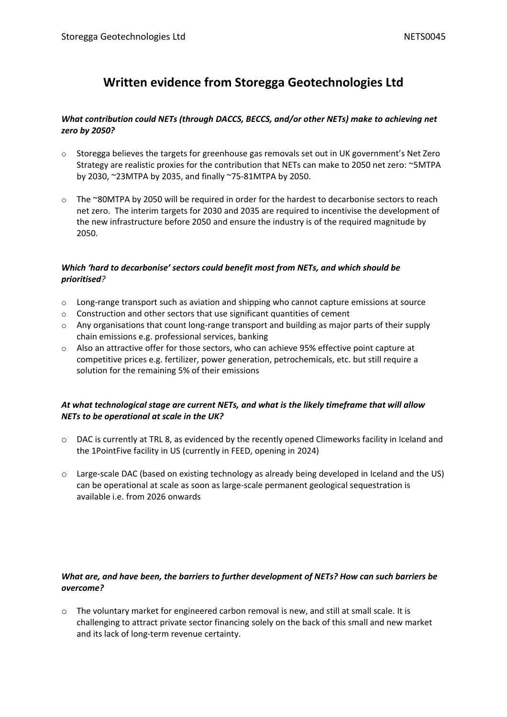# **Written evidence from Storegga Geotechnologies Ltd**

# *What contribution could NETs (through DACCS, BECCS, and/or other NETs) make to achieving net zero by 2050?*

- $\circ$  Storegga believes the targets for greenhouse gas removals set out in UK government's Net Zero Strategy are realistic proxies for the contribution that NETs can make to 2050 net zero: ~5MTPA by 2030, ~23MTPA by 2035, and finally ~75-81MTPA by 2050.
- $\circ$  The ~80MTPA by 2050 will be required in order for the hardest to decarbonise sectors to reach net zero. The interim targets for 2030 and 2035 are required to incentivise the development of the new infrastructure before 2050 and ensure the industry is of the required magnitude by 2050.

# *Which 'hard to decarbonise' sectors could benefit most from NETs, and which should be prioritised?*

- o Long-range transport such as aviation and shipping who cannot capture emissions at source
- o Construction and other sectors that use significant quantities of cement
- $\circ$  Any organisations that count long-range transport and building as major parts of their supply chain emissions e.g. professional services, banking
- o Also an attractive offer for those sectors, who can achieve 95% effective point capture at competitive prices e.g. fertilizer, power generation, petrochemicals, etc. but still require a solution for the remaining 5% of their emissions

# *At what technological stage are current NETs, and what is the likely timeframe that will allow NETs to be operational at scale in the UK?*

- o DAC is currently at TRL 8, as evidenced by the recently opened Climeworks facility in Iceland and the 1PointFive facility in US (currently in FEED, opening in 2024)
- o Large-scale DAC (based on existing technology as already being developed in Iceland and the US) can be operational at scale as soon as large-scale permanent geological sequestration is available i.e. from 2026 onwards

# *What are, and have been, the barriers to further development of NETs? How can such barriers be overcome?*

 $\circ$  The voluntary market for engineered carbon removal is new, and still at small scale. It is challenging to attract private sector financing solely on the back of this small and new market and its lack of long-term revenue certainty.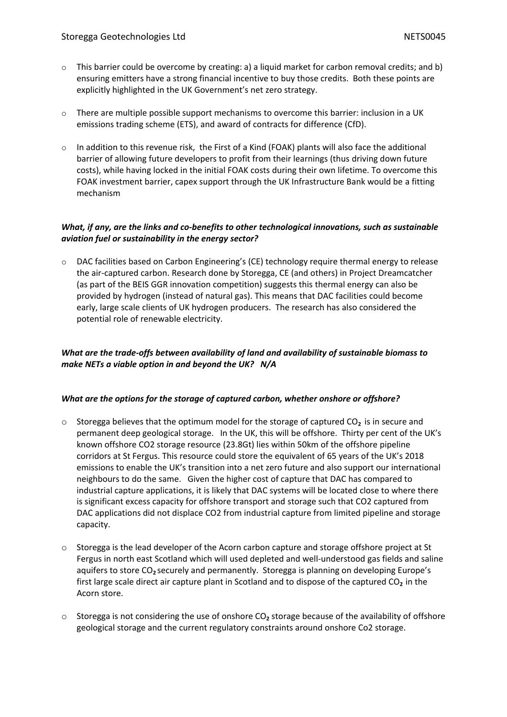- $\circ$  This barrier could be overcome by creating: a) a liquid market for carbon removal credits; and b) ensuring emitters have a strong financial incentive to buy those credits. Both these points are explicitly highlighted in the UK Government's net zero strategy.
- $\circ$  There are multiple possible support mechanisms to overcome this barrier: inclusion in a UK emissions trading scheme (ETS), and award of contracts for difference (CfD).
- $\circ$  In addition to this revenue risk, the First of a Kind (FOAK) plants will also face the additional barrier of allowing future developers to profit from their learnings (thus driving down future costs), while having locked in the initial FOAK costs during their own lifetime. To overcome this FOAK investment barrier, capex support through the UK Infrastructure Bank would be a fitting mechanism

#### *What, if any, are the links and co-benefits to other technological innovations, such as sustainable aviation fuel or sustainability in the energy sector?*

 $\circ$  DAC facilities based on Carbon Engineering's (CE) technology require thermal energy to release the air-captured carbon. Research done by Storegga, CE (and others) in Project Dreamcatcher (as part of the BEIS GGR innovation competition) suggests this thermal energy can also be provided by hydrogen (instead of natural gas). This means that DAC facilities could become early, large scale clients of UK hydrogen producers. The research has also considered the potential role of renewable electricity.

# *What are the trade-offs between availability of land and availability of sustainable biomass to make NETs a viable option in and beyond the UK? N/A*

#### *What are the options for the storage of captured carbon, whether onshore or offshore?*

- o Storegga believes that the optimum model for the storage of captured CO**<sup>2</sup>** is in secure and permanent deep geological storage. In the UK, this will be offshore. Thirty per cent of the UK's known offshore CO2 storage resource (23.8Gt) lies within 50km of the offshore pipeline corridors at St Fergus. This resource could store the equivalent of 65 years of the UK's 2018 emissions to enable the UK's transition into a net zero future and also support our international neighbours to do the same. Given the higher cost of capture that DAC has compared to industrial capture applications, it is likely that DAC systems will be located close to where there is significant excess capacity for offshore transport and storage such that CO2 captured from DAC applications did not displace CO2 from industrial capture from limited pipeline and storage capacity.
- o Storegga is the lead developer of the Acorn carbon capture and storage offshore project at St Fergus in north east Scotland which will used depleted and well-understood gas fields and saline aquifers to store CO**<sup>2</sup>** securely and permanently. Storegga is planning on developing Europe's first large scale direct air capture plant in Scotland and to dispose of the captured CO<sub>2</sub> in the Acorn store.
- o Storegga is not considering the use of onshore CO**<sup>2</sup>** storage because of the availability of offshore geological storage and the current regulatory constraints around onshore Co2 storage.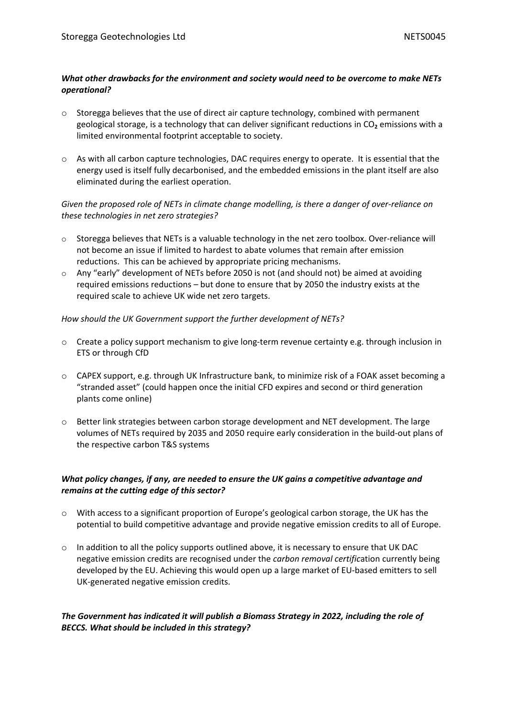#### *What other drawbacks for the environment and society would need to be overcome to make NETs operational?*

- o Storegga believes that the use of direct air capture technology, combined with permanent geological storage, is a technology that can deliver significant reductions in CO<sub>2</sub> emissions with a limited environmental footprint acceptable to society.
- $\circ$  As with all carbon capture technologies, DAC requires energy to operate. It is essential that the energy used is itself fully decarbonised, and the embedded emissions in the plant itself are also eliminated during the earliest operation.

# *Given the proposed role of NETs in climate change modelling, is there a danger of over-reliance on these technologies in net zero strategies?*

- $\circ$  Storegga believes that NETs is a valuable technology in the net zero toolbox. Over-reliance will not become an issue if limited to hardest to abate volumes that remain after emission reductions. This can be achieved by appropriate pricing mechanisms.
- $\circ$  Any "early" development of NETs before 2050 is not (and should not) be aimed at avoiding required emissions reductions – but done to ensure that by 2050 the industry exists at the required scale to achieve UK wide net zero targets.

# *How should the UK Government support the further development of NETs?*

- o Create a policy support mechanism to give long-term revenue certainty e.g. through inclusion in ETS or through CfD
- o CAPEX support, e.g. through UK Infrastructure bank, to minimize risk of a FOAK asset becoming a "stranded asset" (could happen once the initial CFD expires and second or third generation plants come online)
- o Better link strategies between carbon storage development and NET development. The large volumes of NETs required by 2035 and 2050 require early consideration in the build-out plans of the respective carbon T&S systems

# *What policy changes, if any, are needed to ensure the UK gains a competitive advantage and remains at the cutting edge of this sector?*

- o With access to a significant proportion of Europe's geological carbon storage, the UK has the potential to build competitive advantage and provide negative emission credits to all of Europe.
- $\circ$  In addition to all the policy supports outlined above, it is necessary to ensure that UK DAC negative emission credits are recognised under the *carbon removal certific*ation currently being developed by the EU. Achieving this would open up a large market of EU-based emitters to sell UK-generated negative emission credits.

# *The Government has indicated it will publish a Biomass Strategy in 2022, including the role of BECCS. What should be included in this strategy?*